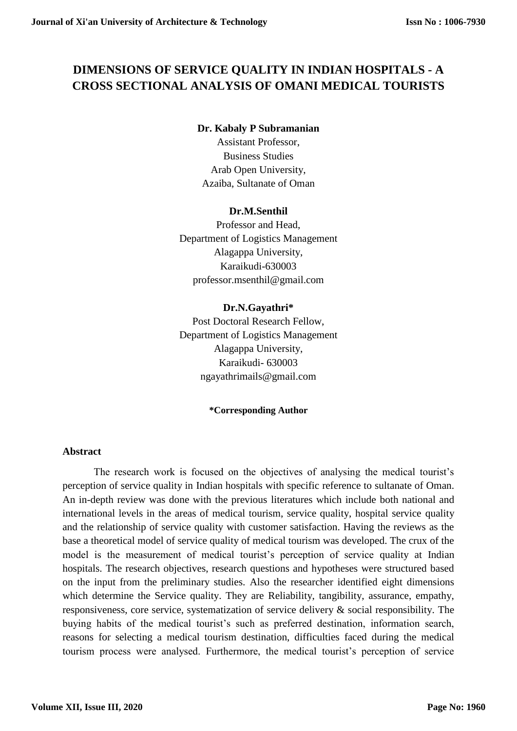# **DIMENSIONS OF SERVICE QUALITY IN INDIAN HOSPITALS - A CROSS SECTIONAL ANALYSIS OF OMANI MEDICAL TOURISTS**

## **Dr. Kabaly P Subramanian**

Assistant Professor, Business Studies Arab Open University, Azaiba, Sultanate of Oman

## **Dr.M.Senthil**

Professor and Head, Department of Logistics Management Alagappa University, Karaikudi-630003 professor.msenthil@gmail.com

# **Dr.N.Gayathri\***

Post Doctoral Research Fellow, Department of Logistics Management Alagappa University, Karaikudi- 630003 ngayathrimails@gmail.com

#### **\*Corresponding Author**

#### **Abstract**

The research work is focused on the objectives of analysing the medical tourist's perception of service quality in Indian hospitals with specific reference to sultanate of Oman. An in-depth review was done with the previous literatures which include both national and international levels in the areas of medical tourism, service quality, hospital service quality and the relationship of service quality with customer satisfaction. Having the reviews as the base a theoretical model of service quality of medical tourism was developed. The crux of the model is the measurement of medical tourist's perception of service quality at Indian hospitals. The research objectives, research questions and hypotheses were structured based on the input from the preliminary studies. Also the researcher identified eight dimensions which determine the Service quality. They are Reliability, tangibility, assurance, empathy, responsiveness, core service, systematization of service delivery & social responsibility. The buying habits of the medical tourist's such as preferred destination, information search, reasons for selecting a medical tourism destination, difficulties faced during the medical tourism process were analysed. Furthermore, the medical tourist's perception of service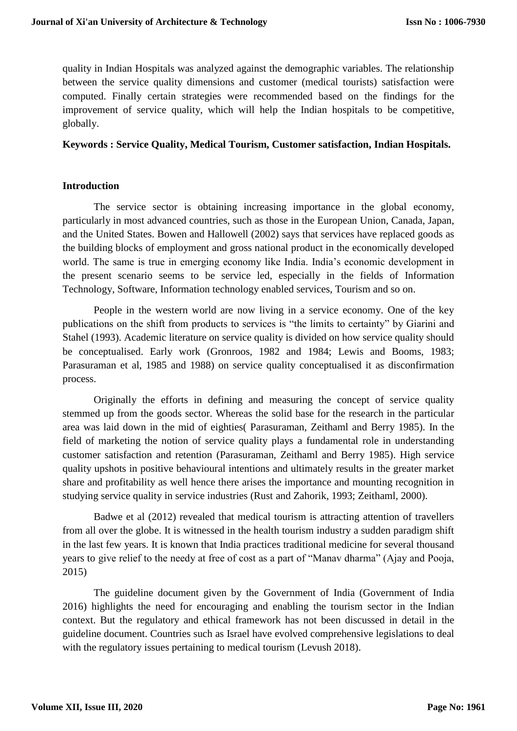quality in Indian Hospitals was analyzed against the demographic variables. The relationship between the service quality dimensions and customer (medical tourists) satisfaction were computed. Finally certain strategies were recommended based on the findings for the improvement of service quality, which will help the Indian hospitals to be competitive, globally.

#### **Keywords : Service Quality, Medical Tourism, Customer satisfaction, Indian Hospitals.**

## **Introduction**

The service sector is obtaining increasing importance in the global economy, particularly in most advanced countries, such as those in the European Union, Canada, Japan, and the United States. Bowen and Hallowell (2002) says that services have replaced goods as the building blocks of employment and gross national product in the economically developed world. The same is true in emerging economy like India. India's economic development in the present scenario seems to be service led, especially in the fields of Information Technology, Software, Information technology enabled services, Tourism and so on.

People in the western world are now living in a service economy. One of the key publications on the shift from products to services is "the limits to certainty" by Giarini and Stahel (1993). Academic literature on service quality is divided on how service quality should be conceptualised. Early work (Gronroos, 1982 and 1984; Lewis and Booms, 1983; Parasuraman et al, 1985 and 1988) on service quality conceptualised it as disconfirmation process.

Originally the efforts in defining and measuring the concept of service quality stemmed up from the goods sector. Whereas the solid base for the research in the particular area was laid down in the mid of eighties( Parasuraman, Zeithaml and Berry 1985). In the field of marketing the notion of service quality plays a fundamental role in understanding customer satisfaction and retention (Parasuraman, Zeithaml and Berry 1985). High service quality upshots in positive behavioural intentions and ultimately results in the greater market share and profitability as well hence there arises the importance and mounting recognition in studying service quality in service industries (Rust and Zahorik, 1993; Zeithaml, 2000).

Badwe et al (2012) revealed that medical tourism is attracting attention of travellers from all over the globe. It is witnessed in the health tourism industry a sudden paradigm shift in the last few years. It is known that India practices traditional medicine for several thousand years to give relief to the needy at free of cost as a part of "Manav dharma" (Ajay and Pooja, 2015)

The guideline document given by the Government of India (Government of India 2016) highlights the need for encouraging and enabling the tourism sector in the Indian context. But the regulatory and ethical framework has not been discussed in detail in the guideline document. Countries such as Israel have evolved comprehensive legislations to deal with the regulatory issues pertaining to medical tourism (Levush 2018).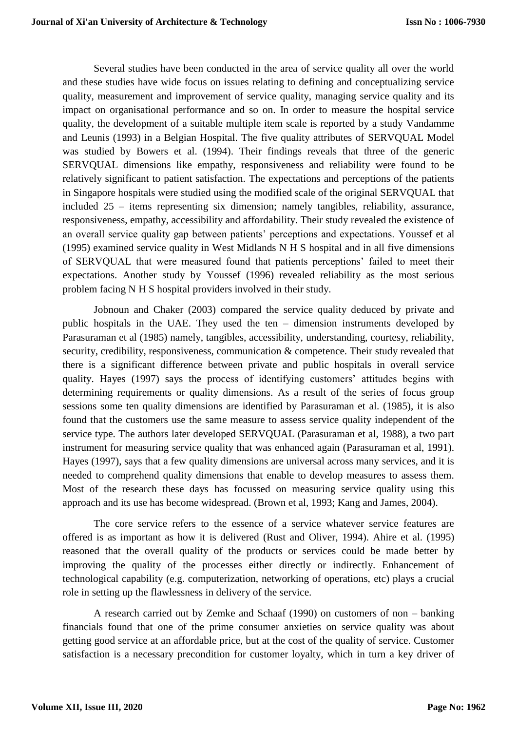Several studies have been conducted in the area of service quality all over the world and these studies have wide focus on issues relating to defining and conceptualizing service quality, measurement and improvement of service quality, managing service quality and its impact on organisational performance and so on. In order to measure the hospital service quality, the development of a suitable multiple item scale is reported by a study Vandamme and Leunis (1993) in a Belgian Hospital. The five quality attributes of SERVQUAL Model was studied by Bowers et al. (1994). Their findings reveals that three of the generic SERVQUAL dimensions like empathy, responsiveness and reliability were found to be relatively significant to patient satisfaction. The expectations and perceptions of the patients in Singapore hospitals were studied using the modified scale of the original SERVQUAL that included 25 – items representing six dimension; namely tangibles, reliability, assurance, responsiveness, empathy, accessibility and affordability. Their study revealed the existence of an overall service quality gap between patients' perceptions and expectations. Youssef et al (1995) examined service quality in West Midlands N H S hospital and in all five dimensions of SERVQUAL that were measured found that patients perceptions' failed to meet their expectations. Another study by Youssef (1996) revealed reliability as the most serious problem facing N H S hospital providers involved in their study.

Jobnoun and Chaker (2003) compared the service quality deduced by private and public hospitals in the UAE. They used the ten – dimension instruments developed by Parasuraman et al (1985) namely, tangibles, accessibility, understanding, courtesy, reliability, security, credibility, responsiveness, communication & competence. Their study revealed that there is a significant difference between private and public hospitals in overall service quality. Hayes (1997) says the process of identifying customers' attitudes begins with determining requirements or quality dimensions. As a result of the series of focus group sessions some ten quality dimensions are identified by Parasuraman et al. (1985), it is also found that the customers use the same measure to assess service quality independent of the service type. The authors later developed SERVQUAL (Parasuraman et al, 1988), a two part instrument for measuring service quality that was enhanced again (Parasuraman et al, 1991). Hayes (1997), says that a few quality dimensions are universal across many services, and it is needed to comprehend quality dimensions that enable to develop measures to assess them. Most of the research these days has focussed on measuring service quality using this approach and its use has become widespread. (Brown et al, 1993; Kang and James, 2004).

The core service refers to the essence of a service whatever service features are offered is as important as how it is delivered (Rust and Oliver, 1994). Ahire et al. (1995) reasoned that the overall quality of the products or services could be made better by improving the quality of the processes either directly or indirectly. Enhancement of technological capability (e.g. computerization, networking of operations, etc) plays a crucial role in setting up the flawlessness in delivery of the service.

A research carried out by Zemke and Schaaf (1990) on customers of non – banking financials found that one of the prime consumer anxieties on service quality was about getting good service at an affordable price, but at the cost of the quality of service. Customer satisfaction is a necessary precondition for customer loyalty, which in turn a key driver of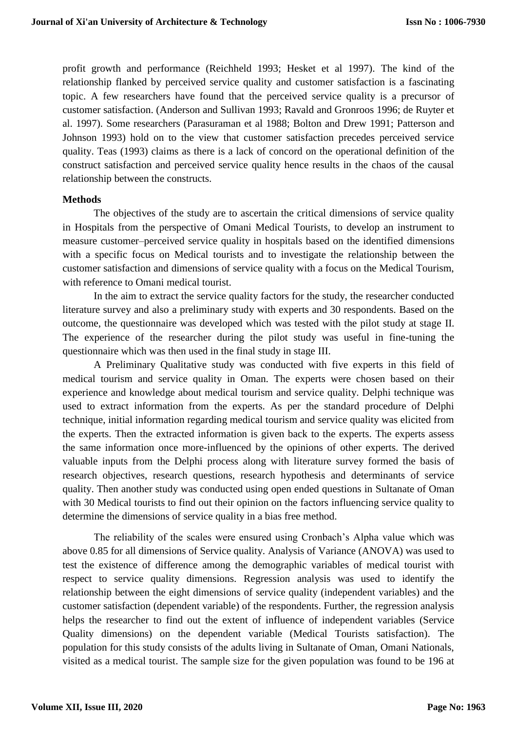profit growth and performance (Reichheld 1993; Hesket et al 1997). The kind of the relationship flanked by perceived service quality and customer satisfaction is a fascinating topic. A few researchers have found that the perceived service quality is a precursor of customer satisfaction. (Anderson and Sullivan 1993; Ravald and Gronroos 1996; de Ruyter et al. 1997). Some researchers (Parasuraman et al 1988; Bolton and Drew 1991; Patterson and Johnson 1993) hold on to the view that customer satisfaction precedes perceived service quality. Teas (1993) claims as there is a lack of concord on the operational definition of the construct satisfaction and perceived service quality hence results in the chaos of the causal relationship between the constructs.

#### **Methods**

The objectives of the study are to ascertain the critical dimensions of service quality in Hospitals from the perspective of Omani Medical Tourists, to develop an instrument to measure customer–perceived service quality in hospitals based on the identified dimensions with a specific focus on Medical tourists and to investigate the relationship between the customer satisfaction and dimensions of service quality with a focus on the Medical Tourism, with reference to Omani medical tourist.

In the aim to extract the service quality factors for the study, the researcher conducted literature survey and also a preliminary study with experts and 30 respondents. Based on the outcome, the questionnaire was developed which was tested with the pilot study at stage II. The experience of the researcher during the pilot study was useful in fine-tuning the questionnaire which was then used in the final study in stage III.

A Preliminary Qualitative study was conducted with five experts in this field of medical tourism and service quality in Oman. The experts were chosen based on their experience and knowledge about medical tourism and service quality. Delphi technique was used to extract information from the experts. As per the standard procedure of Delphi technique, initial information regarding medical tourism and service quality was elicited from the experts. Then the extracted information is given back to the experts. The experts assess the same information once more-influenced by the opinions of other experts. The derived valuable inputs from the Delphi process along with literature survey formed the basis of research objectives, research questions, research hypothesis and determinants of service quality. Then another study was conducted using open ended questions in Sultanate of Oman with 30 Medical tourists to find out their opinion on the factors influencing service quality to determine the dimensions of service quality in a bias free method.

The reliability of the scales were ensured using Cronbach's Alpha value which was above 0.85 for all dimensions of Service quality. Analysis of Variance (ANOVA) was used to test the existence of difference among the demographic variables of medical tourist with respect to service quality dimensions. Regression analysis was used to identify the relationship between the eight dimensions of service quality (independent variables) and the customer satisfaction (dependent variable) of the respondents. Further, the regression analysis helps the researcher to find out the extent of influence of independent variables (Service Quality dimensions) on the dependent variable (Medical Tourists satisfaction). The population for this study consists of the adults living in Sultanate of Oman, Omani Nationals, visited as a medical tourist. The sample size for the given population was found to be 196 at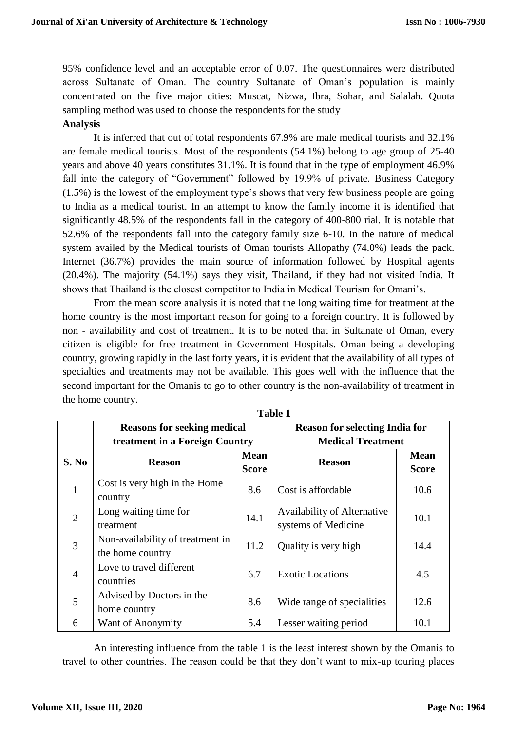95% confidence level and an acceptable error of 0.07. The questionnaires were distributed across Sultanate of Oman. The country Sultanate of Oman's population is mainly concentrated on the five major cities: Muscat, Nizwa, Ibra, Sohar, and Salalah. Quota sampling method was used to choose the respondents for the study

#### **Analysis**

It is inferred that out of total respondents 67.9% are male medical tourists and 32.1% are female medical tourists. Most of the respondents (54.1%) belong to age group of 25-40 years and above 40 years constitutes 31.1%. It is found that in the type of employment 46.9% fall into the category of "Government" followed by 19.9% of private. Business Category (1.5%) is the lowest of the employment type's shows that very few business people are going to India as a medical tourist. In an attempt to know the family income it is identified that significantly 48.5% of the respondents fall in the category of 400-800 rial. It is notable that 52.6% of the respondents fall into the category family size 6-10. In the nature of medical system availed by the Medical tourists of Oman tourists Allopathy (74.0%) leads the pack. Internet (36.7%) provides the main source of information followed by Hospital agents (20.4%). The majority (54.1%) says they visit, Thailand, if they had not visited India. It shows that Thailand is the closest competitor to India in Medical Tourism for Omani's.

From the mean score analysis it is noted that the long waiting time for treatment at the home country is the most important reason for going to a foreign country. It is followed by non - availability and cost of treatment. It is to be noted that in Sultanate of Oman, every citizen is eligible for free treatment in Government Hospitals. Oman being a developing country, growing rapidly in the last forty years, it is evident that the availability of all types of specialties and treatments may not be available. This goes well with the influence that the second important for the Omanis to go to other country is the non-availability of treatment in the home country.

|                | <b>Reasons for seeking medical</b> |                          | <b>Reason for selecting India for</b> |              |  |  |  |  |  |
|----------------|------------------------------------|--------------------------|---------------------------------------|--------------|--|--|--|--|--|
|                | treatment in a Foreign Country     | <b>Medical Treatment</b> |                                       |              |  |  |  |  |  |
| S. No          |                                    | <b>Mean</b>              |                                       | <b>Mean</b>  |  |  |  |  |  |
|                | <b>Reason</b>                      | <b>Score</b>             | <b>Reason</b>                         | <b>Score</b> |  |  |  |  |  |
| $\mathbf{1}$   | Cost is very high in the Home      | 8.6                      | Cost is affordable                    | 10.6         |  |  |  |  |  |
|                | country                            |                          |                                       |              |  |  |  |  |  |
| $\overline{2}$ | Long waiting time for              | 14.1                     | Availability of Alternative           | 10.1         |  |  |  |  |  |
|                | treatment                          |                          | systems of Medicine                   |              |  |  |  |  |  |
| 3              | Non-availability of treatment in   | 11.2                     | Quality is very high                  | 14.4         |  |  |  |  |  |
|                | the home country                   |                          |                                       |              |  |  |  |  |  |
| $\overline{4}$ | Love to travel different           | 6.7                      | <b>Exotic Locations</b>               | 4.5          |  |  |  |  |  |
|                | countries                          |                          |                                       |              |  |  |  |  |  |
| 5              | Advised by Doctors in the          | 8.6                      | Wide range of specialities            | 12.6         |  |  |  |  |  |
|                | home country                       |                          |                                       |              |  |  |  |  |  |
| 6              | Want of Anonymity                  | 5.4                      | Lesser waiting period                 | 10.1         |  |  |  |  |  |

**Table 1**

An interesting influence from the table 1 is the least interest shown by the Omanis to travel to other countries. The reason could be that they don't want to mix-up touring places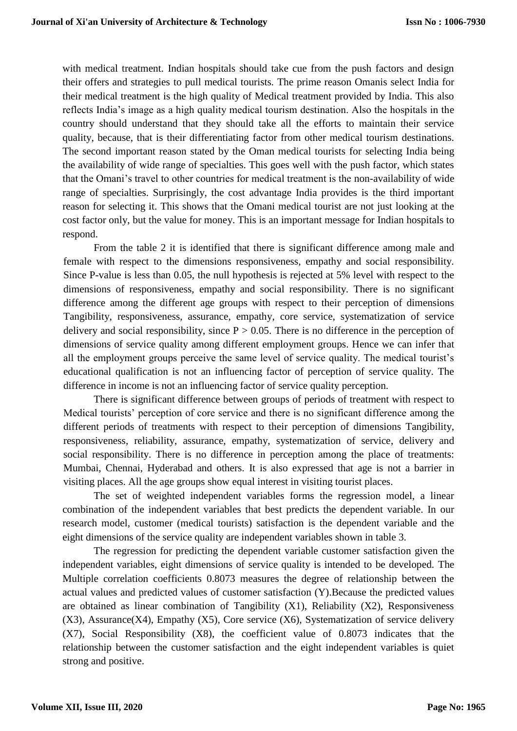with medical treatment. Indian hospitals should take cue from the push factors and design their offers and strategies to pull medical tourists. The prime reason Omanis select India for their medical treatment is the high quality of Medical treatment provided by India. This also reflects India's image as a high quality medical tourism destination. Also the hospitals in the country should understand that they should take all the efforts to maintain their service quality, because, that is their differentiating factor from other medical tourism destinations. The second important reason stated by the Oman medical tourists for selecting India being the availability of wide range of specialties. This goes well with the push factor, which states that the Omani's travel to other countries for medical treatment is the non-availability of wide range of specialties. Surprisingly, the cost advantage India provides is the third important reason for selecting it. This shows that the Omani medical tourist are not just looking at the cost factor only, but the value for money. This is an important message for Indian hospitals to respond.

From the table 2 it is identified that there is significant difference among male and female with respect to the dimensions responsiveness, empathy and social responsibility. Since P-value is less than 0.05, the null hypothesis is rejected at 5% level with respect to the dimensions of responsiveness, empathy and social responsibility. There is no significant difference among the different age groups with respect to their perception of dimensions Tangibility, responsiveness, assurance, empathy, core service, systematization of service delivery and social responsibility, since  $P > 0.05$ . There is no difference in the perception of dimensions of service quality among different employment groups. Hence we can infer that all the employment groups perceive the same level of service quality. The medical tourist's educational qualification is not an influencing factor of perception of service quality. The difference in income is not an influencing factor of service quality perception.

There is significant difference between groups of periods of treatment with respect to Medical tourists' perception of core service and there is no significant difference among the different periods of treatments with respect to their perception of dimensions Tangibility, responsiveness, reliability, assurance, empathy, systematization of service, delivery and social responsibility. There is no difference in perception among the place of treatments: Mumbai, Chennai, Hyderabad and others. It is also expressed that age is not a barrier in visiting places. All the age groups show equal interest in visiting tourist places.

The set of weighted independent variables forms the regression model, a linear combination of the independent variables that best predicts the dependent variable. In our research model, customer (medical tourists) satisfaction is the dependent variable and the eight dimensions of the service quality are independent variables shown in table 3.

The regression for predicting the dependent variable customer satisfaction given the independent variables, eight dimensions of service quality is intended to be developed. The Multiple correlation coefficients 0.8073 measures the degree of relationship between the actual values and predicted values of customer satisfaction (Y).Because the predicted values are obtained as linear combination of Tangibility (X1), Reliability (X2), Responsiveness  $(X3)$ , Assurance $(X4)$ , Empathy  $(X5)$ , Core service  $(X6)$ , Systematization of service delivery (X7), Social Responsibility (X8), the coefficient value of 0.8073 indicates that the relationship between the customer satisfaction and the eight independent variables is quiet strong and positive.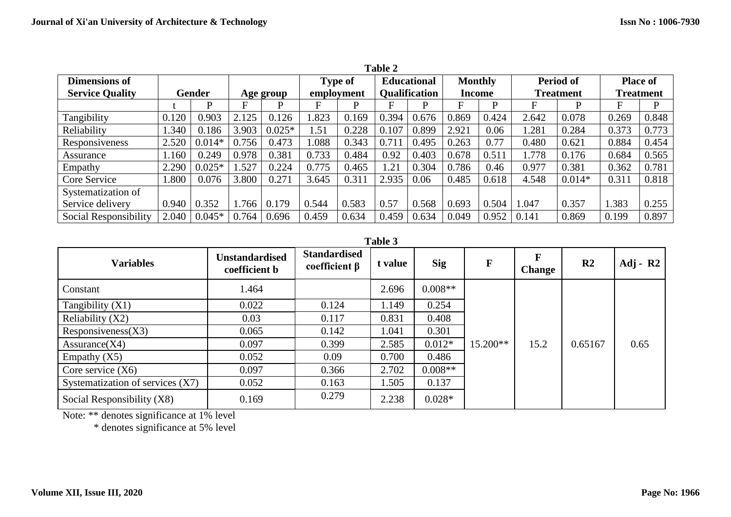| Table 2                          |       |           |       |            |                |                      |                    |               |                |                  |                  |                  |                 |       |
|----------------------------------|-------|-----------|-------|------------|----------------|----------------------|--------------------|---------------|----------------|------------------|------------------|------------------|-----------------|-------|
| <b>Dimensions of</b>             |       |           |       |            | <b>Type of</b> |                      | <b>Educational</b> |               | <b>Monthly</b> |                  | <b>Period of</b> |                  | <b>Place of</b> |       |
| <b>Service Quality</b><br>Gender |       | Age group |       | employment |                | <b>Qualification</b> |                    | <b>Income</b> |                | <b>Treatment</b> |                  | <b>Treatment</b> |                 |       |
|                                  |       | P         | F     | D          | F              | P                    | F                  | D             |                | D                | F                | D                | F               | P     |
| Tangibility                      | 0.120 | 0.903     | 2.125 | 0.126      | .823           | 0.169                | 0.394              | 0.676         | 0.869          | 0.424            | 2.642            | 0.078            | 0.269           | 0.848 |
| Reliability                      | 1.340 | 0.186     | 3.903 | $0.025*$   | 1.51           | 0.228                | 0.107              | 0.899         | 2.921          | 0.06             | .281             | 0.284            | 0.373           | 0.773 |
| Responsiveness                   | 2.520 | $0.014*$  | 0.756 | 0.473      | .088           | 0.343                | 0.711              | 0.495         | 0.263          | 0.77             | 0.480            | 0.621            | 0.884           | 0.454 |
| Assurance                        | 1.160 | 0.249     | 0.978 | 0.381      | 0.733          | 0.484                | 0.92               | 0.403         | 0.678          | 0.511            | 1.778            | 0.176            | 0.684           | 0.565 |
| Empathy                          | 2.290 | $0.025*$  | 1.527 | 0.224      | 0.775          | 0.465                | 1.21               | 0.304         | 0.786          | 0.46             | 0.977            | 0.381            | 0.362           | 0.781 |
| Core Service                     | 1.800 | 0.076     | 3.800 | 0.271      | 3.645          | 0.311                | 2.935              | 0.06          | 0.485          | 0.618            | 4.548            | $0.014*$         | 0.311           | 0.818 |
| Systematization of               |       |           |       |            |                |                      |                    |               |                |                  |                  |                  |                 |       |
| Service delivery                 | 0.940 | 0.352     | 1.766 | 0.179      | 0.544          | 0.583                | 0.57               | 0.568         | 0.693          | 0.504            | 1.047            | 0.357            | 1.383           | 0.255 |
| Social Responsibility            | 2.040 | $0.045*$  | 0.764 | 0.696      | 0.459          | 0.634                | 0.459              | 0.634         | 0.049          | 0.952            | 0.141            | 0.869            | 0.199           | 0.897 |

**Table 3**

| <b>Variables</b>                   | <b>Unstandardised</b><br>coefficient b | <b>Standardised</b><br>coefficient $\beta$ | t value | <b>Sig</b> | $\mathbf F$ | <b>Change</b> | R <sub>2</sub> | $Adj - R2$ |
|------------------------------------|----------------------------------------|--------------------------------------------|---------|------------|-------------|---------------|----------------|------------|
| Constant                           | 1.464                                  |                                            | 2.696   | $0.008**$  |             |               |                |            |
| Tangibility $(X1)$                 | 0.022                                  | 0.124                                      | 1.149   | 0.254      |             |               |                |            |
| Reliability $(X2)$                 | 0.03                                   | 0.117                                      | 0.831   | 0.408      |             |               |                |            |
| Responsiveness(X3)                 | 0.065                                  | 0.142                                      | 1.041   | 0.301      |             |               |                |            |
| Assurance(X4)                      | 0.097                                  | 0.399                                      | 2.585   | $0.012*$   | $15.200**$  | 15.2          | 0.65167        | 0.65       |
| Empathy $(X5)$                     | 0.052                                  | 0.09                                       | 0.700   | 0.486      |             |               |                |            |
| Core service $(X6)$                | 0.097                                  | 0.366                                      | 2.702   | $0.008**$  |             |               |                |            |
| Systematization of services $(X7)$ | 0.052                                  | 0.163                                      | 1.505   | 0.137      |             |               |                |            |
| Social Responsibility (X8)         | 0.169                                  | 0.279                                      | 2.238   | $0.028*$   |             |               |                |            |

Note: \*\* denotes significance at 1% level

\* denotes significance at 5% level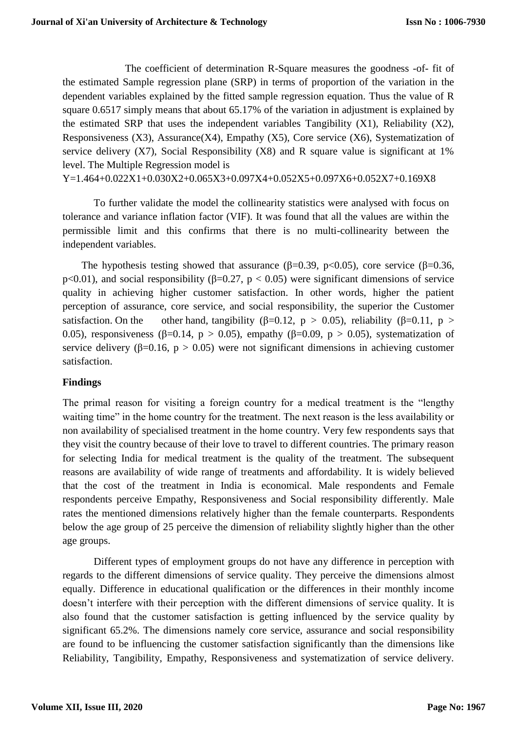The coefficient of determination R-Square measures the goodness -of- fit of the estimated Sample regression plane (SRP) in terms of proportion of the variation in the dependent variables explained by the fitted sample regression equation. Thus the value of R square 0.6517 simply means that about 65.17% of the variation in adjustment is explained by the estimated SRP that uses the independent variables Tangibility  $(X1)$ , Reliability  $(X2)$ , Responsiveness  $(X3)$ , Assurance $(X4)$ , Empathy  $(X5)$ , Core service  $(X6)$ , Systematization of service delivery (X7), Social Responsibility (X8) and R square value is significant at 1% level. The Multiple Regression model is

Y=1.464+0.022X1+0.030X2+0.065X3+0.097X4+0.052X5+0.097X6+0.052X7+0.169X8

To further validate the model the collinearity statistics were analysed with focus on tolerance and variance inflation factor (VIF). It was found that all the values are within the permissible limit and this confirms that there is no multi-collinearity between the independent variables.

The hypothesis testing showed that assurance ( $\beta$ =0.39, p<0.05), core service ( $\beta$ =0.36, p<0.01), and social responsibility (β=0.27, p < 0.05) were significant dimensions of service quality in achieving higher customer satisfaction. In other words, higher the patient perception of assurance, core service, and social responsibility, the superior the Customer satisfaction. On the other hand, tangibility ( $\beta$ =0.12, p > 0.05), reliability ( $\beta$ =0.11, p > 0.05), responsiveness (β=0.14, p > 0.05), empathy (β=0.09, p > 0.05), systematization of service delivery ( $\beta$ =0.16, p > 0.05) were not significant dimensions in achieving customer satisfaction.

# **Findings**

The primal reason for visiting a foreign country for a medical treatment is the "lengthy waiting time" in the home country for the treatment. The next reason is the less availability or non availability of specialised treatment in the home country. Very few respondents says that they visit the country because of their love to travel to different countries. The primary reason for selecting India for medical treatment is the quality of the treatment. The subsequent reasons are availability of wide range of treatments and affordability. It is widely believed that the cost of the treatment in India is economical. Male respondents and Female respondents perceive Empathy, Responsiveness and Social responsibility differently. Male rates the mentioned dimensions relatively higher than the female counterparts. Respondents below the age group of 25 perceive the dimension of reliability slightly higher than the other age groups.

Different types of employment groups do not have any difference in perception with regards to the different dimensions of service quality. They perceive the dimensions almost equally. Difference in educational qualification or the differences in their monthly income doesn't interfere with their perception with the different dimensions of service quality. It is also found that the customer satisfaction is getting influenced by the service quality by significant 65.2%. The dimensions namely core service, assurance and social responsibility are found to be influencing the customer satisfaction significantly than the dimensions like Reliability, Tangibility, Empathy, Responsiveness and systematization of service delivery.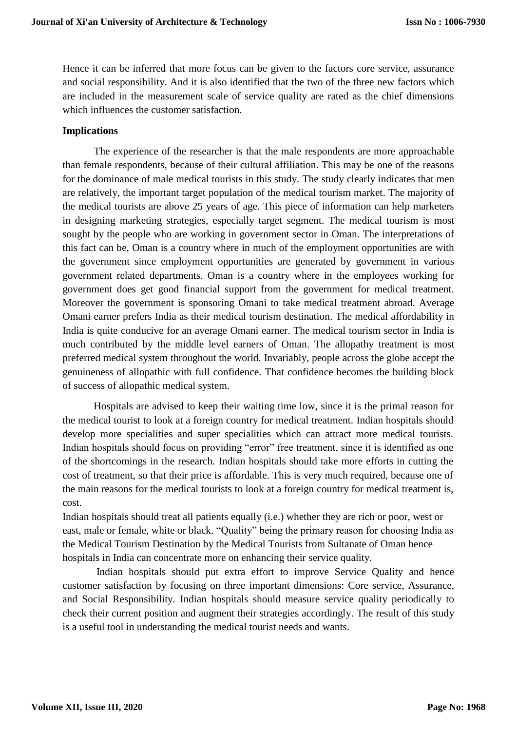Hence it can be inferred that more focus can be given to the factors core service, assurance and social responsibility. And it is also identified that the two of the three new factors which are included in the measurement scale of service quality are rated as the chief dimensions which influences the customer satisfaction.

## **Implications**

The experience of the researcher is that the male respondents are more approachable than female respondents, because of their cultural affiliation. This may be one of the reasons for the dominance of male medical tourists in this study. The study clearly indicates that men are relatively, the important target population of the medical tourism market. The majority of the medical tourists are above 25 years of age. This piece of information can help marketers in designing marketing strategies, especially target segment. The medical tourism is most sought by the people who are working in government sector in Oman. The interpretations of this fact can be, Oman is a country where in much of the employment opportunities are with the government since employment opportunities are generated by government in various government related departments. Oman is a country where in the employees working for government does get good financial support from the government for medical treatment. Moreover the government is sponsoring Omani to take medical treatment abroad. Average Omani earner prefers India as their medical tourism destination. The medical affordability in India is quite conducive for an average Omani earner. The medical tourism sector in India is much contributed by the middle level earners of Oman. The allopathy treatment is most preferred medical system throughout the world. Invariably, people across the globe accept the genuineness of allopathic with full confidence. That confidence becomes the building block of success of allopathic medical system.

Hospitals are advised to keep their waiting time low, since it is the primal reason for the medical tourist to look at a foreign country for medical treatment. Indian hospitals should develop more specialities and super specialities which can attract more medical tourists. Indian hospitals should focus on providing "error" free treatment, since it is identified as one of the shortcomings in the research. Indian hospitals should take more efforts in cutting the cost of treatment, so that their price is affordable. This is very much required, because one of the main reasons for the medical tourists to look at a foreign country for medical treatment is, cost.

Indian hospitals should treat all patients equally (i.e.) whether they are rich or poor, west or east, male or female, white or black. "Quality" being the primary reason for choosing India as the Medical Tourism Destination by the Medical Tourists from Sultanate of Oman hence hospitals in India can concentrate more on enhancing their service quality.

Indian hospitals should put extra effort to improve Service Quality and hence customer satisfaction by focusing on three important dimensions: Core service, Assurance, and Social Responsibility. Indian hospitals should measure service quality periodically to check their current position and augment their strategies accordingly. The result of this study is a useful tool in understanding the medical tourist needs and wants.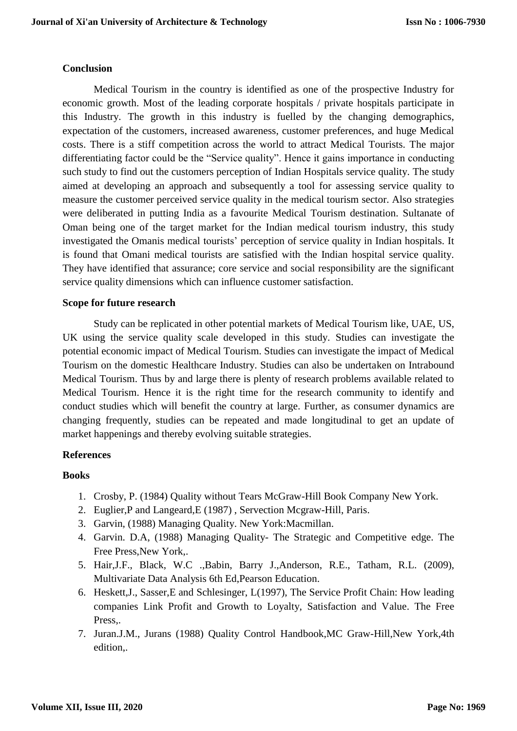## **Conclusion**

Medical Tourism in the country is identified as one of the prospective Industry for economic growth. Most of the leading corporate hospitals / private hospitals participate in this Industry. The growth in this industry is fuelled by the changing demographics, expectation of the customers, increased awareness, customer preferences, and huge Medical costs. There is a stiff competition across the world to attract Medical Tourists. The major differentiating factor could be the "Service quality". Hence it gains importance in conducting such study to find out the customers perception of Indian Hospitals service quality. The study aimed at developing an approach and subsequently a tool for assessing service quality to measure the customer perceived service quality in the medical tourism sector. Also strategies were deliberated in putting India as a favourite Medical Tourism destination. Sultanate of Oman being one of the target market for the Indian medical tourism industry, this study investigated the Omanis medical tourists' perception of service quality in Indian hospitals. It is found that Omani medical tourists are satisfied with the Indian hospital service quality. They have identified that assurance; core service and social responsibility are the significant service quality dimensions which can influence customer satisfaction.

## **Scope for future research**

Study can be replicated in other potential markets of Medical Tourism like, UAE, US, UK using the service quality scale developed in this study. Studies can investigate the potential economic impact of Medical Tourism. Studies can investigate the impact of Medical Tourism on the domestic Healthcare Industry. Studies can also be undertaken on Intrabound Medical Tourism. Thus by and large there is plenty of research problems available related to Medical Tourism. Hence it is the right time for the research community to identify and conduct studies which will benefit the country at large. Further, as consumer dynamics are changing frequently, studies can be repeated and made longitudinal to get an update of market happenings and thereby evolving suitable strategies.

#### **References**

#### **Books**

- 1. Crosby, P. (1984) Quality without Tears McGraw-Hill Book Company New York.
- 2. Euglier,P and Langeard,E (1987) , Servection Mcgraw-Hill, Paris.
- 3. Garvin, (1988) Managing Quality. New York:Macmillan.
- 4. Garvin. D.A, (1988) Managing Quality- The Strategic and Competitive edge. The Free Press,New York,.
- 5. Hair,J.F., Black, W.C .,Babin, Barry J.,Anderson, R.E., Tatham, R.L. (2009), Multivariate Data Analysis 6th Ed,Pearson Education.
- 6. Heskett,J., Sasser,E and Schlesinger, L(1997), The Service Profit Chain: How leading companies Link Profit and Growth to Loyalty, Satisfaction and Value. The Free Press,.
- 7. Juran.J.M., Jurans (1988) Quality Control Handbook,MC Graw-Hill,New York,4th edition,.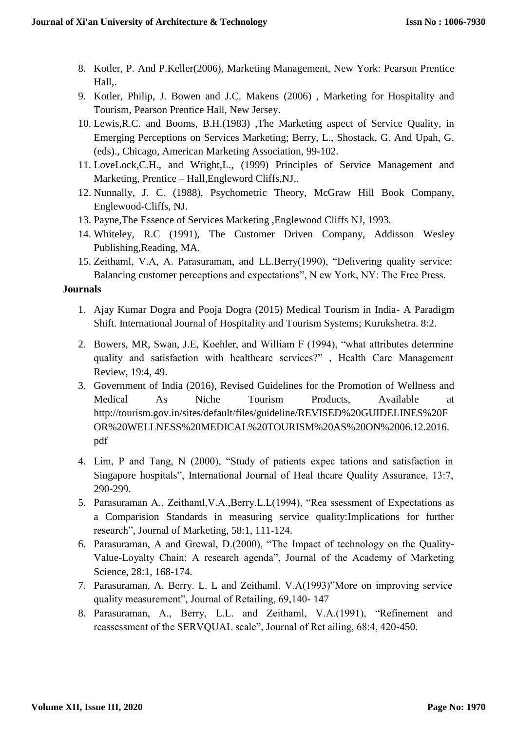- 8. Kotler, P. And P.Keller(2006), Marketing Management, New York: Pearson Prentice Hall,.
- 9. Kotler, Philip, J. Bowen and J.C. Makens (2006) , Marketing for Hospitality and Tourism, Pearson Prentice Hall, New Jersey.
- 10. Lewis,R.C. and Booms, B.H.(1983) ,The Marketing aspect of Service Quality, in Emerging Perceptions on Services Marketing; Berry, L., Shostack, G. And Upah, G. (eds)., Chicago, American Marketing Association, 99-102.
- 11. LoveLock,C.H., and Wright,L., (1999) Principles of Service Management and Marketing, Prentice – Hall,Engleword Cliffs,NJ,.
- 12. Nunnally, J. C. (1988), Psychometric Theory, McGraw Hill Book Company, Englewood-Cliffs, NJ.
- 13. Payne,The Essence of Services Marketing ,Englewood Cliffs NJ, 1993.
- 14. Whiteley, R.C (1991), The Customer Driven Company, Addisson Wesley Publishing,Reading, MA.
- 15. Zeithaml, V.A, A. Parasuraman, and LL.Berry(1990), "Delivering quality service: Balancing customer perceptions and expectations", N ew York, NY: The Free Press.

# **Journals**

- 1. Ajay Kumar Dogra and Pooja Dogra (2015) Medical Tourism in India- A Paradigm Shift. International Journal of Hospitality and Tourism Systems; Kurukshetra. 8:2.
- 2. Bowers, MR, Swan, J.E, Koehler, and William F (1994), "what attributes determine quality and satisfaction with healthcare services?" , Health Care Management Review, 19:4, 49.
- 3. Government of India (2016), Revised Guidelines for the Promotion of Wellness and Medical As Niche Tourism Products, Available at http://tourism.gov.in/sites/default/files/guideline/REVISED%20GUIDELINES%20F OR%20WELLNESS%20MEDICAL%20TOURISM%20AS%20ON%2006.12.2016. pdf
- 4. Lim, P and Tang, N (2000), "Study of patients expec tations and satisfaction in Singapore hospitals", International Journal of Heal thcare Quality Assurance, 13:7, 290-299.
- 5. Parasuraman A., Zeithaml,V.A.,Berry.L.L(1994), "Rea ssessment of Expectations as a Comparision Standards in measuring service quality:Implications for further research", Journal of Marketing, 58:1, 111-124.
- 6. Parasuraman, A and Grewal, D.(2000), "The Impact of technology on the Quality-Value-Loyalty Chain: A research agenda", Journal of the Academy of Marketing Science, 28:1, 168-174.
- 7. Parasuraman, A. Berry. L. L and Zeithaml. V.A(1993)"More on improving service quality measurement", Journal of Retailing, 69,140- 147
- 8. Parasuraman, A., Berry, L.L. and Zeithaml, V.A.(1991), "Refinement and reassessment of the SERVQUAL scale", Journal of Ret ailing, 68:4, 420-450.